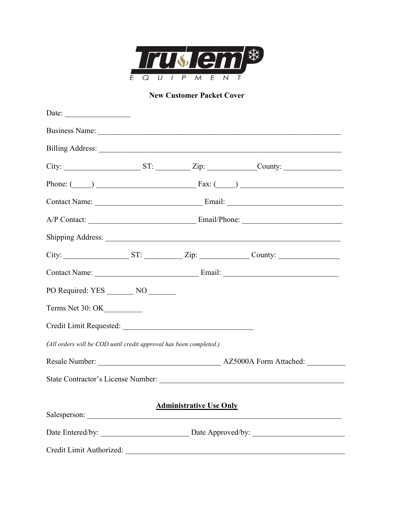

## New Customer Packet Cover

|                                                                    |  |                                | Business Name: 2008. [2016] The Contract of the Contract of the Contract of the Contract of the Contract of the Contract of the Contract of the Contract of the Contract of the Contract of the Contract of the Contract of th       |  |  |
|--------------------------------------------------------------------|--|--------------------------------|--------------------------------------------------------------------------------------------------------------------------------------------------------------------------------------------------------------------------------------|--|--|
|                                                                    |  |                                | Billing Address: <u>New York: New York: New York: New York: New York: New York: New York: New York: New York: New York: New York: New York: New York: New York: New York: New York: New York: New York: New York: New York: New </u> |  |  |
|                                                                    |  |                                | $City:$ $S T:$ $Zip:$ ${Zip:$ ${County:}$                                                                                                                                                                                            |  |  |
|                                                                    |  |                                | Phone: $(\_\_\_\_\_\_$ Fax: $(\_\_\_\_\_\_$                                                                                                                                                                                          |  |  |
|                                                                    |  |                                |                                                                                                                                                                                                                                      |  |  |
|                                                                    |  |                                |                                                                                                                                                                                                                                      |  |  |
|                                                                    |  |                                |                                                                                                                                                                                                                                      |  |  |
|                                                                    |  |                                |                                                                                                                                                                                                                                      |  |  |
|                                                                    |  |                                |                                                                                                                                                                                                                                      |  |  |
| PO Required: YES _________ NO ________                             |  |                                |                                                                                                                                                                                                                                      |  |  |
| Terms Net 30: OK                                                   |  |                                |                                                                                                                                                                                                                                      |  |  |
|                                                                    |  |                                |                                                                                                                                                                                                                                      |  |  |
| (All orders will be COD until credit approval has been completed.) |  |                                |                                                                                                                                                                                                                                      |  |  |
|                                                                    |  |                                | Resale Number: AZ5000A Form Attached:                                                                                                                                                                                                |  |  |
|                                                                    |  |                                |                                                                                                                                                                                                                                      |  |  |
|                                                                    |  |                                |                                                                                                                                                                                                                                      |  |  |
|                                                                    |  | <b>Administrative Use Only</b> |                                                                                                                                                                                                                                      |  |  |
|                                                                    |  |                                |                                                                                                                                                                                                                                      |  |  |
| Credit Limit Authorized:                                           |  |                                |                                                                                                                                                                                                                                      |  |  |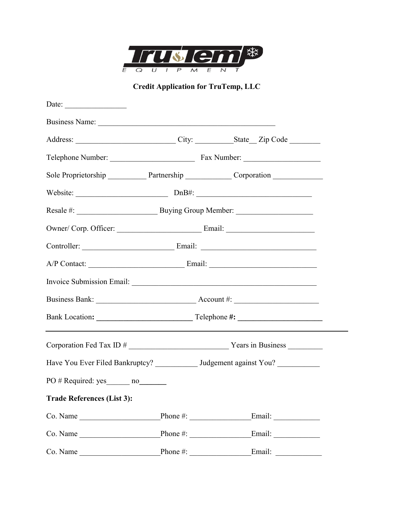

Credit Application for TruTemp, LLC

| Date: $\qquad \qquad$                                                                                                                                                                                                          |          |                                 |        |
|--------------------------------------------------------------------------------------------------------------------------------------------------------------------------------------------------------------------------------|----------|---------------------------------|--------|
| Business Name: 2008. [2016] The Contract of the Contract of the Contract of the Contract of the Contract of the Contract of the Contract of the Contract of the Contract of the Contract of the Contract of the Contract of th |          |                                 |        |
|                                                                                                                                                                                                                                |          |                                 |        |
|                                                                                                                                                                                                                                |          |                                 |        |
| Sole Proprietorship Partnership Corporation                                                                                                                                                                                    |          |                                 |        |
| Website: $DnB#$ :                                                                                                                                                                                                              |          |                                 |        |
|                                                                                                                                                                                                                                |          |                                 |        |
|                                                                                                                                                                                                                                |          |                                 |        |
|                                                                                                                                                                                                                                |          |                                 |        |
|                                                                                                                                                                                                                                |          |                                 |        |
|                                                                                                                                                                                                                                |          |                                 |        |
|                                                                                                                                                                                                                                |          |                                 |        |
|                                                                                                                                                                                                                                |          |                                 |        |
|                                                                                                                                                                                                                                |          |                                 |        |
| Have You Ever Filed Bankruptcy? ___________ Judgement against You? ____________                                                                                                                                                |          |                                 |        |
| PO # Required: yes_______ no________                                                                                                                                                                                           |          |                                 |        |
| <b>Trade References (List 3):</b>                                                                                                                                                                                              |          |                                 |        |
| Co. Name                                                                                                                                                                                                                       |          | Phone $\#$ :                    | Email: |
| Co. Name                                                                                                                                                                                                                       |          | Phone #: $\qquad \qquad \qquad$ |        |
| Co. Name                                                                                                                                                                                                                       | Phone #: |                                 | Email: |